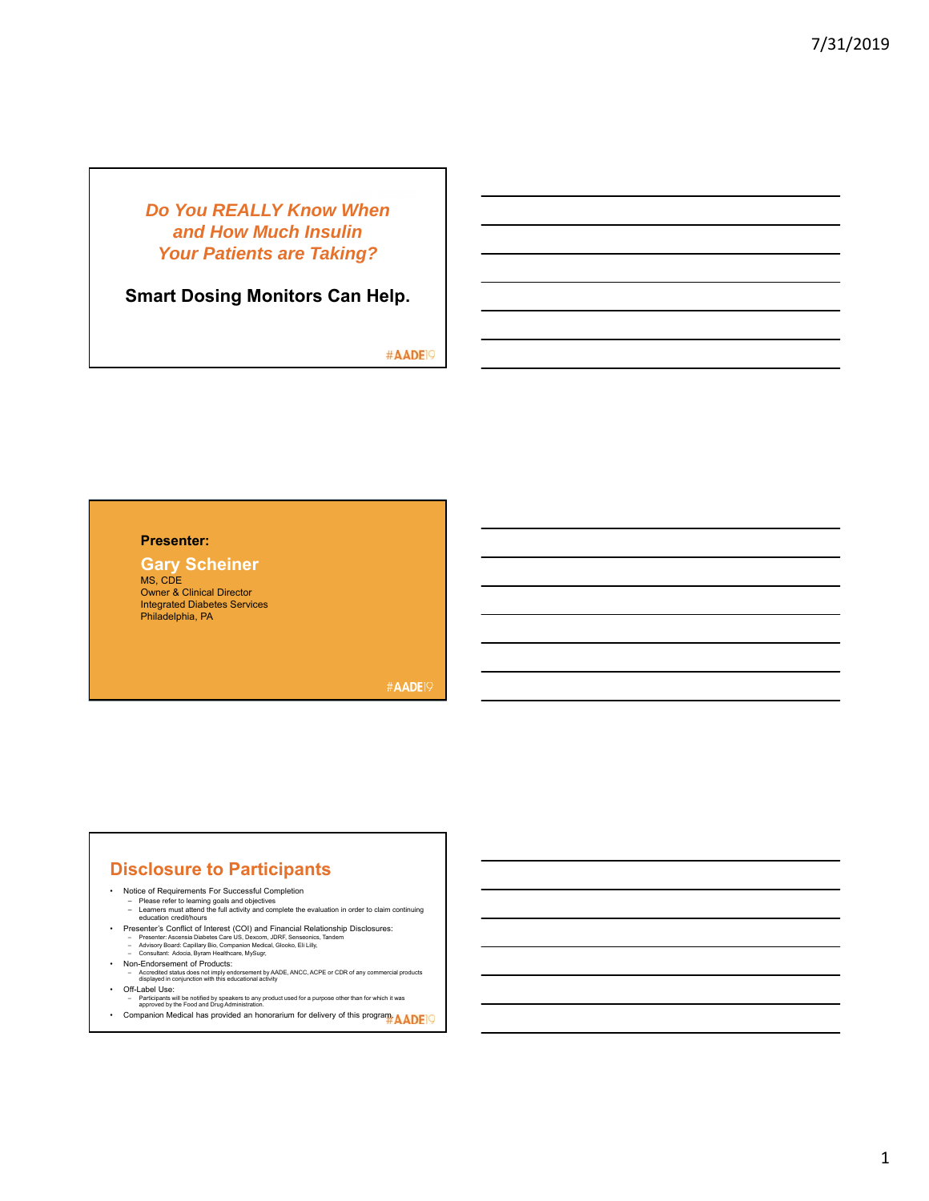## *Do You REALLY Know When and How Much Insulin Your Patients are Taking?*

**Smart Dosing Monitors Can Help.**

#AADE<sup>19</sup>

#### **Presenter:**

#### **Gary Scheiner**

MS, CDE Owner & Clinical Director Integrated Diabetes Services Philadelphia, PA

**#AADE19** 

### **Disclosure to Participants**

- Notice of Requirements For Successful Completion
	-
	- Please refer to learning goals and objectives Learners must attend the full activity and complete the evaluation in order to claim continuing education credit/hours
- Presenter's Conflict of Interest (COI) and Financial Relationship Disclosures:<br>- Presenter: Ascensia Diabetes Care US, Dexcom, JDRF, Senseonics, Tandem<br>- Advisory Board: Capillary Bio, Companion Medical, Glooko, Eli Lill
- 
- 
- Non-Endorsement of Products: Accredited status does not imply endorsement by AADE, ANCC, ACPE or CDR of any commercial products displayed in conjunction with this educational activity
- Off-Label Use:
	- Participants will be notified by speakers to any product used for a purpose other than for which it was approved by the Food and Drug Administration.
- Companion Medical has provided an honorarium for delivery of this program. AADE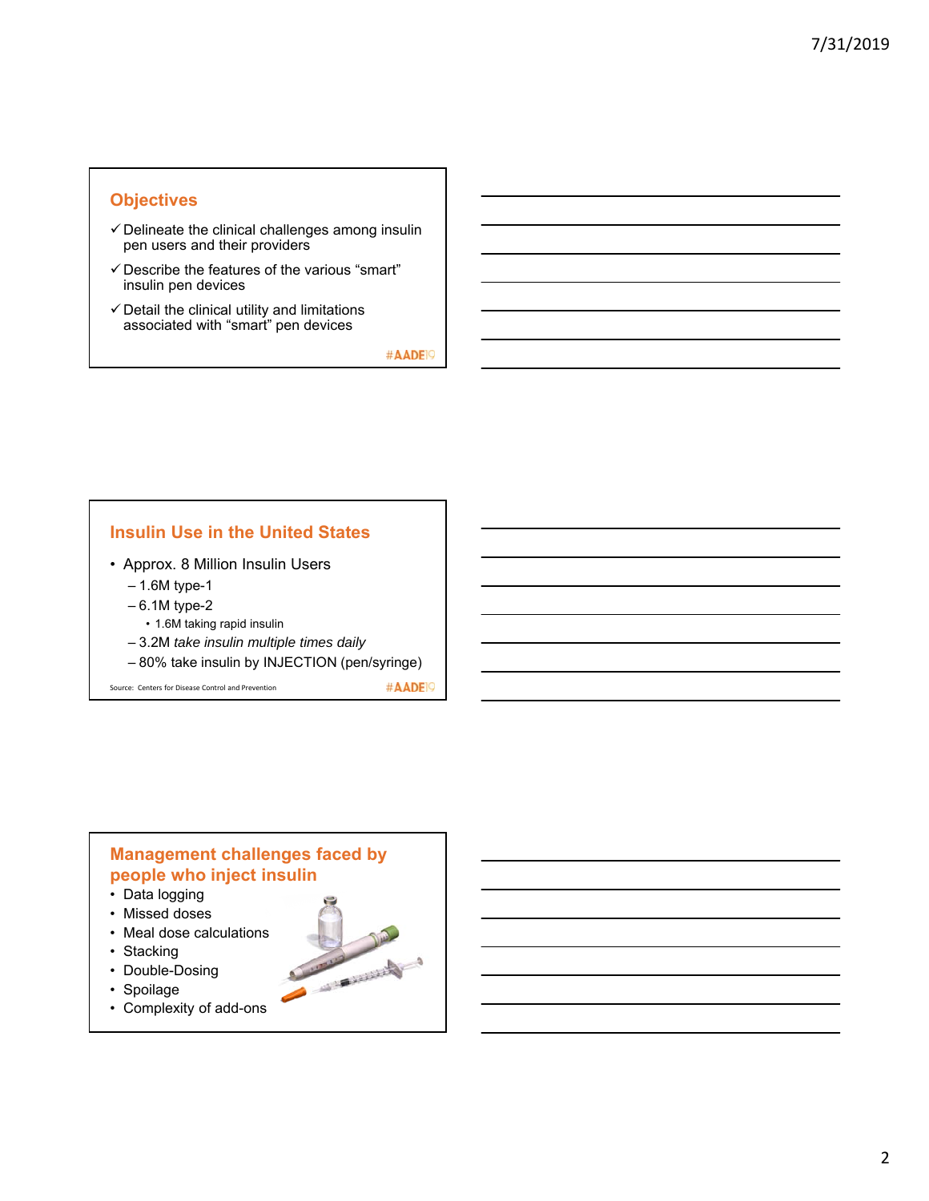### **Objectives**

- $\checkmark$  Delineate the clinical challenges among insulin pen users and their providers
- $\checkmark$  Describe the features of the various "smart" insulin pen devices
- $\checkmark$  Detail the clinical utility and limitations associated with "smart" pen devices

#AADE<sup>19</sup>

#### **Insulin Use in the United States**

- Approx. 8 Million Insulin Users
	- 1.6M type-1
	- 6.1M type-2
	- 1.6M taking rapid insulin
	- 3.2M *take insulin multiple times daily*
	- 80% take insulin by INJECTION (pen/syringe)

Source: Centers for Disease Control and Prevention

#AADE<sup>19</sup>

### **Management challenges faced by people who inject insulin**

- Data logging
- Missed doses
- Meal dose calculations
- Stacking
- Double-Dosing
- Spoilage
- Complexity of add-ons

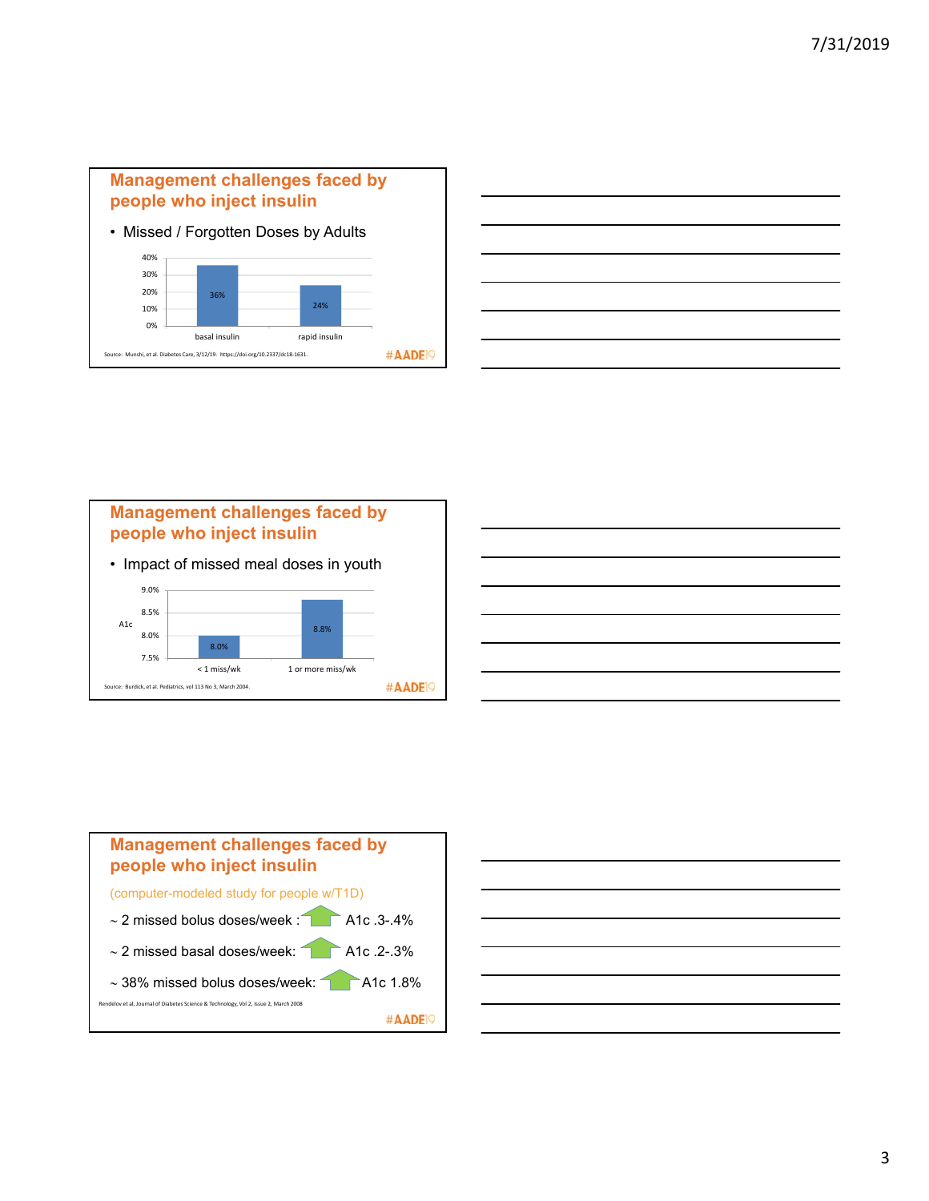

|                                                                                                                       |  | $\overline{\phantom{a}}$          |
|-----------------------------------------------------------------------------------------------------------------------|--|-----------------------------------|
|                                                                                                                       |  |                                   |
|                                                                                                                       |  | ________                          |
| ,我们也不会有什么。""我们的人,我们也不会有什么?""我们的人,我们也不会有什么?""我们的人,我们也不会有什么?""我们的人,我们也不会有什么?""我们的人                                      |  |                                   |
| <u> Alexandro de la contrada de la contrada de la contrada de la contrada de la contrada de la contrada de la con</u> |  |                                   |
|                                                                                                                       |  |                                   |
| <u> 1989 - Johann Stoff, deutscher Stoffen und der Stoffen und der Stoffen und der Stoffen und der Stoffen und de</u> |  | and the state of the state of the |
|                                                                                                                       |  |                                   |
| the contract of the contract of the contract of                                                                       |  |                                   |







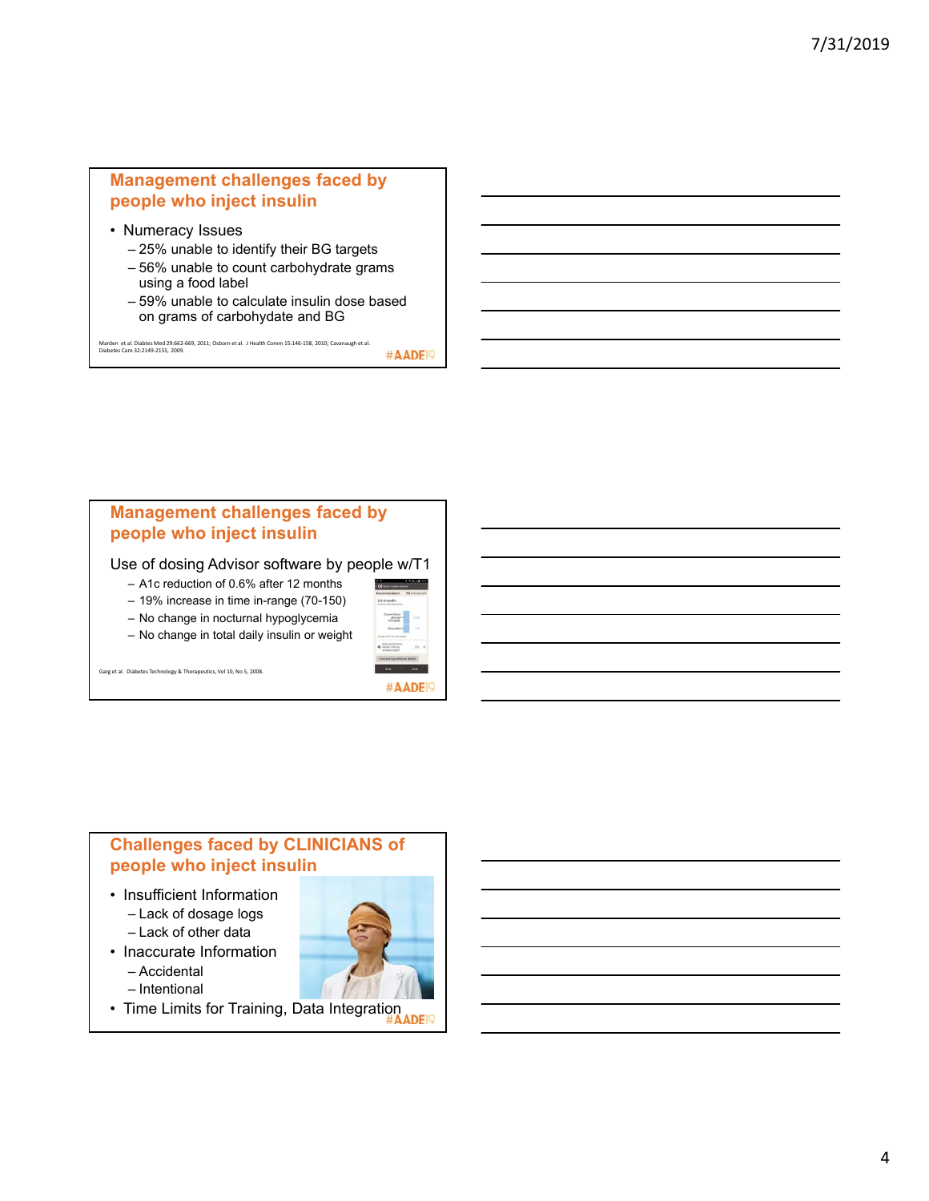### **Management challenges faced by people who inject insulin**

- Numeracy Issues
	- 25% unable to identify their BG targets
	- 56% unable to count carbohydrate grams using a food label
	- 59% unable to calculate insulin dose based on grams of carbohydate and BG

Marden et al. Diabtes Med 29:662-669, 2011; Osborn et al. J Health Comm 15:146-158, 2010; Cavanaugh et al.<br>Diabetes Care 32:2149-2155, 2009.

**Management challenges faced by people who inject insulin**

Use of dosing Advisor software by people w/T1

- A1c reduction of 0.6% after 12 months
- 19% increase in time in-range (70-150)
- No change in nocturnal hypoglycemia





#AADE<sup>19</sup>

Garg et al. Diabetes Technology & Therapeutics, Vol 10, No 5, 2008.

# **Challenges faced by CLINICIANS of people who inject insulin**

- Insufficient Information – Lack of dosage logs
	- Lack of other data
- Inaccurate Information – Accidental – Intentional
	-
- Time Limits for Training, Data Integration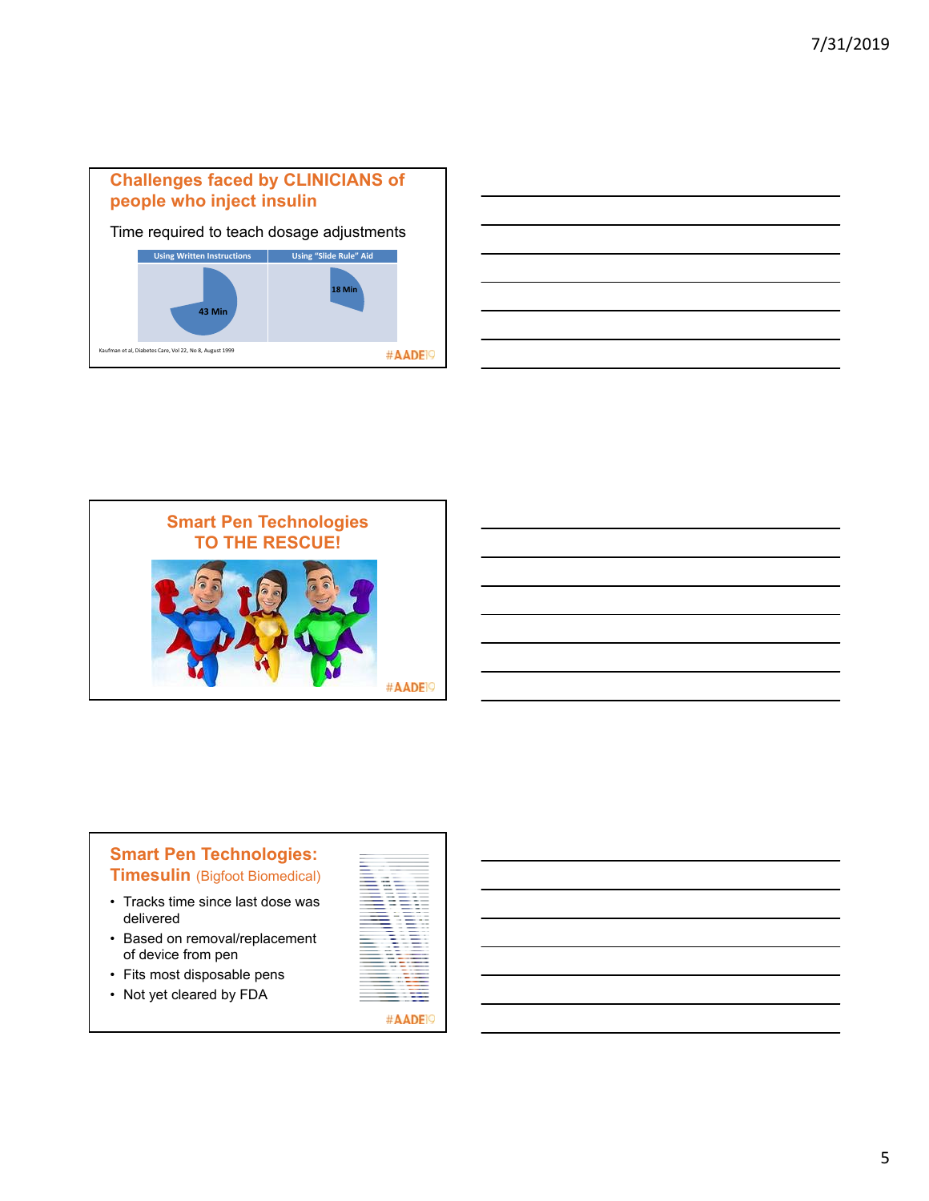

|  | _____  |
|--|--------|
|  |        |
|  | ______ |
|  | _____  |
|  | ______ |
|  |        |
|  | _____  |
|  |        |





- Tracks time since last dose was delivered
- Based on removal/replacement of device from pen
- Fits most disposable pens
- Not yet cleared by FDA

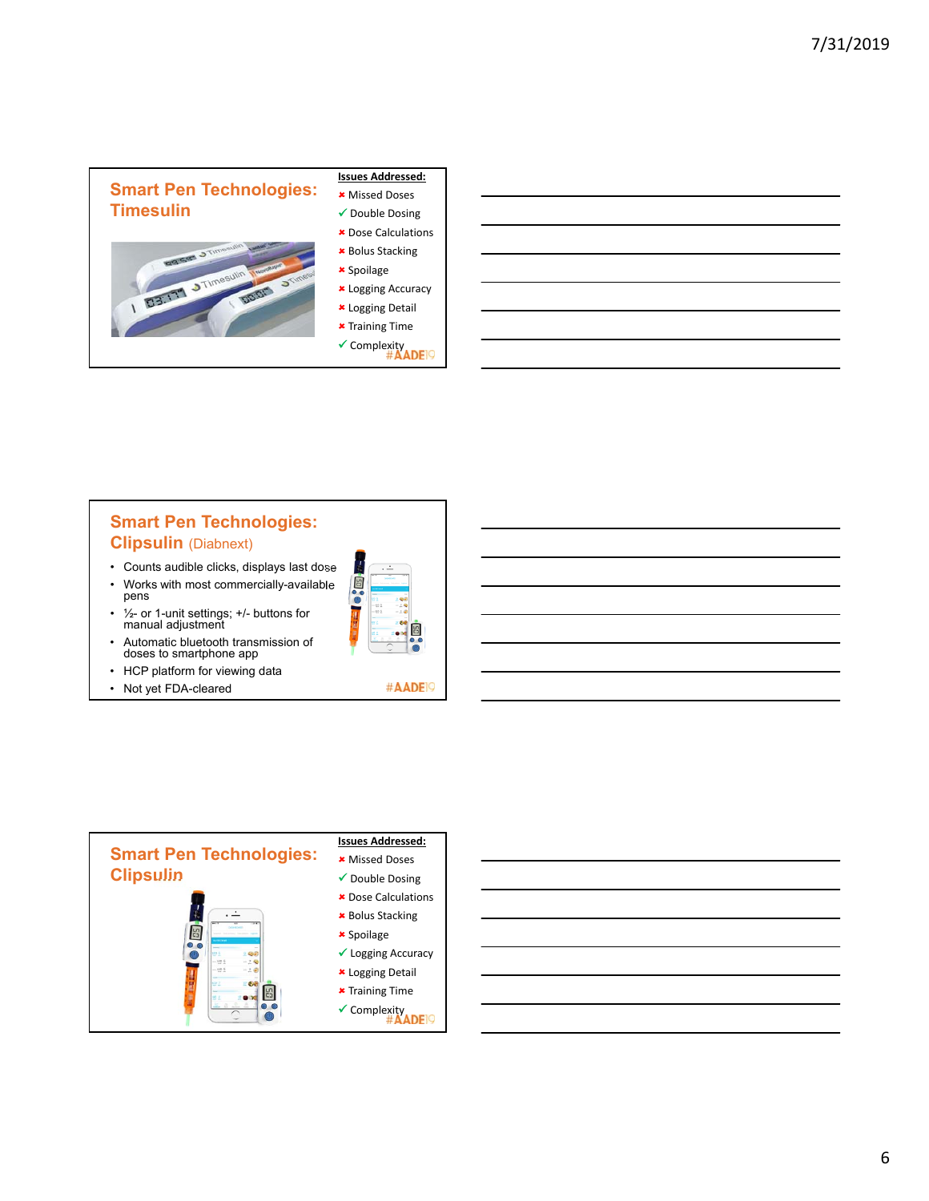

## **Smart Pen Technologies: Clipsulin** (Diabnext)

- Counts audible clicks, displays last dose
- Works with most commercially-available pens
- ½- or 1-unit settings; +/- buttons for manual adjustment
- Automatic bluetooth transmission of doses to smartphone app
- HCP platform for viewing data
- Not yet FDA-cleared





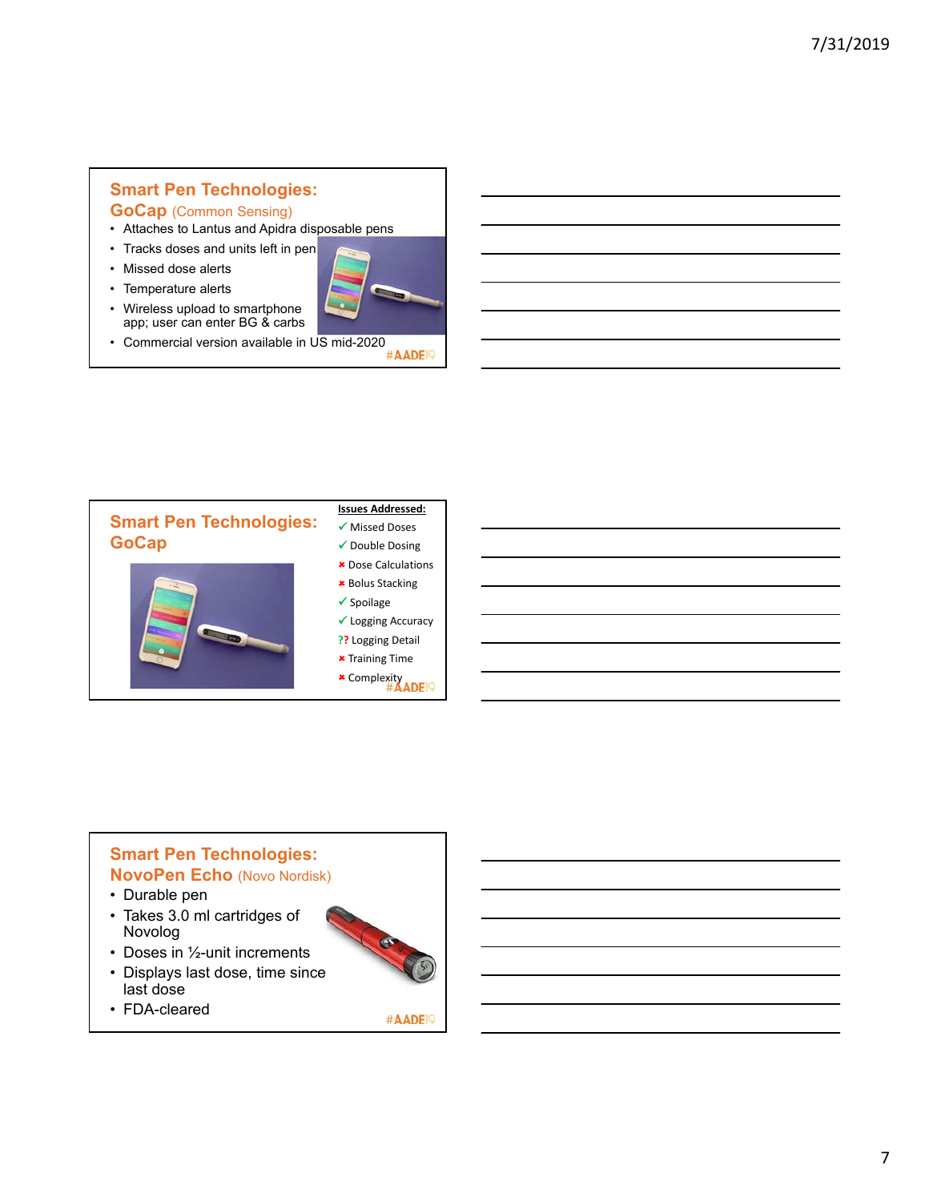# **Smart Pen Technologies:**

### **GoCap** (Common Sensing)

- Attaches to Lantus and Apidra disposable pens
- Tracks doses and units left in pen

• Wireless upload to smartphone app; user can enter BG & carbs

- Missed dose alerts
- Temperature alerts



• Commercial version available in US mid-2020<br>  $\#$ AADEP



## **Smart Pen Technologies: NovoPen Echo** (Novo Nordisk)

- Durable pen
- Takes 3.0 ml cartridges of Novolog
- Doses in 1/2-unit increments
- Displays last dose, time since last dose
- FDA-cleared



#AADE<sup>19</sup>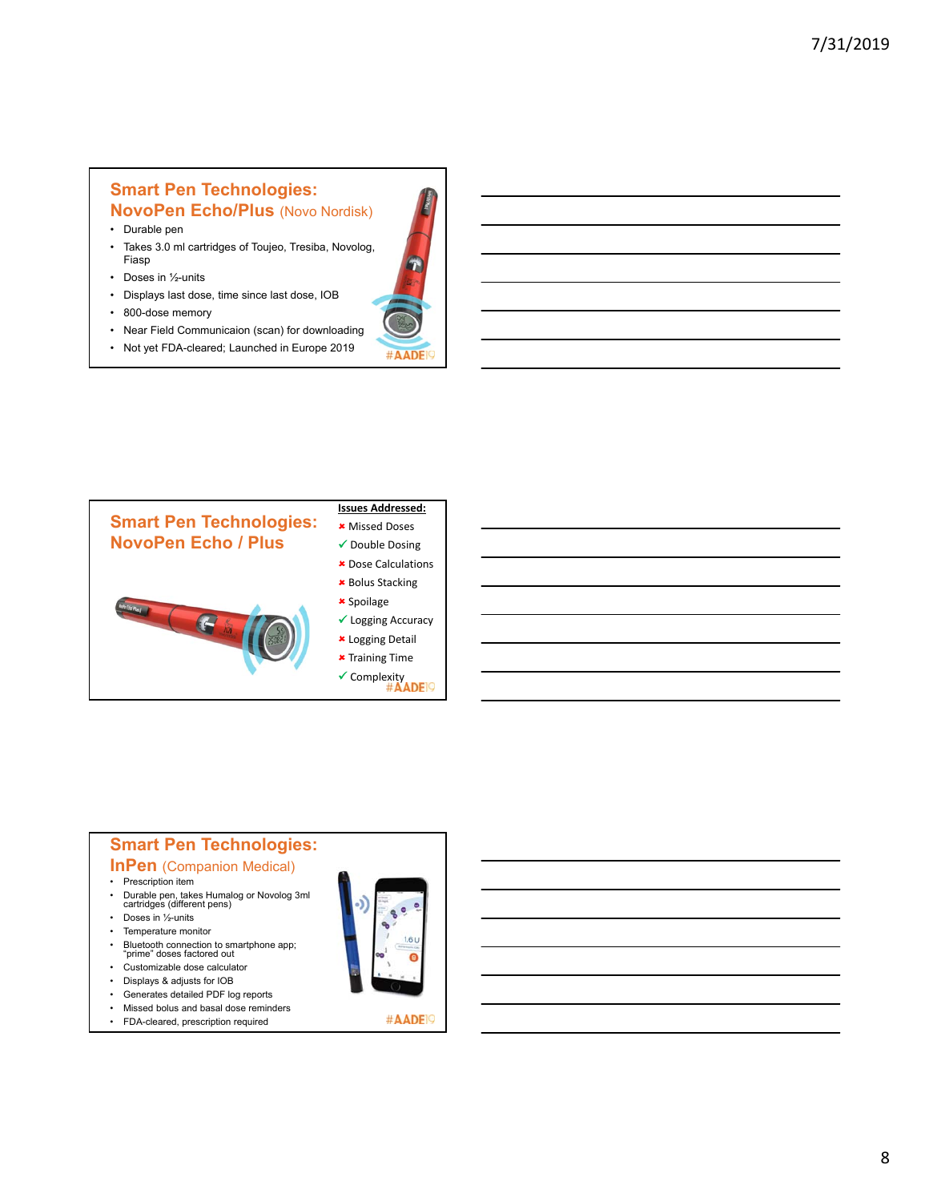#### **Smart Pen Technologies: NovoPen Echo/Plus** (Novo Nordisk)

- Durable pen
- Takes 3.0 ml cartridges of Toujeo, Tresiba, Novolog, Fiasp
- Doses in 1/2-units
- Displays last dose, time since last dose, IOB
- 800-dose memory
- Near Field Communicaion (scan) for downloading
- Not yet FDA-cleared; Launched in Europe 2019





### **Smart Pen Technologies:**

#### **InPen** (Companion Medical)

- Prescription item
- Durable pen, takes Humalog or Novolog 3ml cartridges (different pens)
- Doses in 1/2-units
- Temperature monitor
- Bluetooth connection to smartphone app; "prime" doses factored out
- Customizable dose calculator
- Displays & adjusts for IOB
- Generates detailed PDF log reports
- Missed bolus and basal dose reminders
- FDA-cleared, prescription required



#AADE<sup>19</sup>

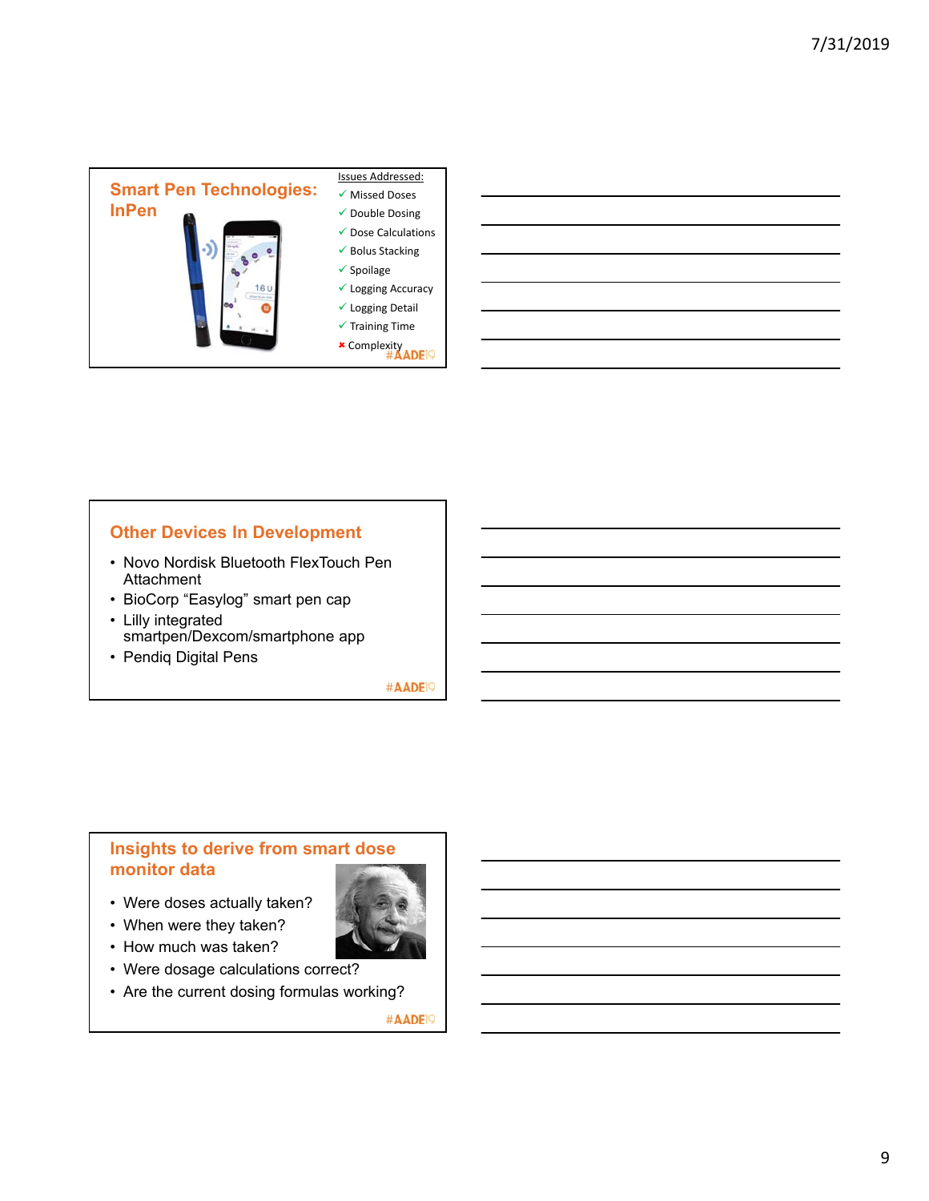

### **Other Devices In Development**

- Novo Nordisk Bluetooth FlexTouch Pen **Attachment**
- BioCorp "Easylog" smart pen cap
- Lilly integrated smartpen/Dexcom/smartphone app
- Pendiq Digital Pens

#AADE<sup>19</sup>

### **Insights to derive from smart dose monitor data**

- Were doses actually taken?
- When were they taken?
- How much was taken?
- Were dosage calculations correct?
- Are the current dosing formulas working?

#AADE<sup>19</sup>